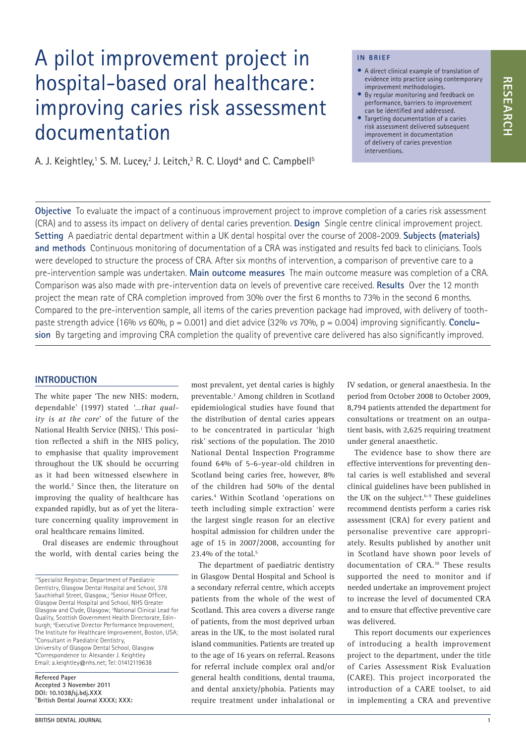# A pilot improvement project in hospital-based oral healthcare: improving caries risk assessment documentation

A. J. Keightley,1 S. M. Lucey,<sup>2</sup> J. Leitch,3 R. C. Lloyd<sup>4</sup> and C. Campbell<sup>5</sup>

#### **IN BRIEF**

- A direct clinical example of translation of evidence into practice using contemporary improvement methodologies.
- By regular monitoring and feedback on performance, barriers to improvement can be identified and addressed.
- Targeting documentation of a caries risk assessment delivered subsequent improvement in documentation of delivery of caries prevention interventions.

**Objective** To evaluate the impact of a continuous improvement project to improve completion of a caries risk assessment (CRA) and to assess its impact on delivery of dental caries prevention. **Design** Single centre clinical improvement project. **Setting** A paediatric dental department within a UK dental hospital over the course of 2008‑2009. **Subjects (materials) and methods** Continuous monitoring of documentation of a CRA was instigated and results fed back to clinicians. Tools were developed to structure the process of CRA. After six months of intervention, a comparison of preventive care to a pre-intervention sample was undertaken. **Main outcome measures** The main outcome measure was completion of a CRA. Comparison was also made with pre-intervention data on levels of preventive care received. **Results** Over the 12 month project the mean rate of CRA completion improved from 30% over the first 6 months to 73% in the second 6 months. Compared to the pre-intervention sample, all items of the caries prevention package had improved, with delivery of tooth– paste strength advice (16% *vs* 60%, p = 0.001) and diet advice (32% *vs* 70%, p = 0.004) improving significantly. **Conclusion** By targeting and improving CRA completion the quality of preventive care delivered has also significantly improved.

#### **INTRODUCTION**

The white paper 'The new NHS: modern, dependable' (1997) stated *'…that quality is at the core*' of the future of the National Health Service (NHS).<sup>1</sup> This position reflected a shift in the NHS policy, to emphasise that quality improvement throughout the UK should be occurring as it had been witnessed elsewhere in the world.<sup>2</sup> Since then, the literature on improving the quality of healthcare has expanded rapidly, but as of yet the literature concerning quality improvement in oral healthcare remains limited.

Oral diseases are endemic throughout the world, with dental caries being the

**Refereed Paper Accepted 3 November 2011 DOI: 10.1038/sj.bdj.XXX**  ©**British Dental Journal XXXX; XXX:**  most prevalent, yet dental caries is highly preventable.3 Among children in Scotland epidemiological studies have found that the distribution of dental caries appears to be concentrated in particular 'high risk' sections of the population. The 2010 National Dental Inspection Programme found 64% of 5‑6-year-old children in Scotland being caries free, however, 8% of the children had 50% of the dental caries.4 Within Scotland 'operations on teeth including simple extraction' were the largest single reason for an elective hospital admission for children under the age of 15 in 2007/2008, accounting for 23.4% of the total. $5$ 

The department of paediatric dentistry in Glasgow Dental Hospital and School is a secondary referral centre, which accepts patients from the whole of the west of Scotland. This area covers a diverse range of patients, from the most deprived urban areas in the UK, to the most isolated rural island communities. Patients are treated up to the age of 16 years on referral. Reasons for referral include complex oral and/or general health conditions, dental trauma, and dental anxiety/phobia. Patients may require treatment under inhalational or

IV sedation, or general anaesthesia. In the period from October 2008 to October 2009, 8,794 patients attended the department for consultations or treatment on an outpatient basis, with 2,625 requiring treatment under general anaesthetic.

The evidence base to show there are effective interventions for preventing dental caries is well established and several clinical guidelines have been published in the UK on the subject.<sup>6-9</sup> These guidelines recommend dentists perform a caries risk assessment (CRA) for every patient and personalise preventive care appropriately. Results published by another unit in Scotland have shown poor levels of documentation of CRA.<sup>10</sup> These results supported the need to monitor and if needed undertake an improvement project to increase the level of documented CRA and to ensure that effective preventive care was delivered.

This report documents our experiences of introducing a health improvement project to the department, under the title of Caries Assessment Risk Evaluation (CARE). This project incorporated the introduction of a CARE toolset, to aid in implementing a CRA and preventive

<sup>1\*</sup>Specialist Registrar, Department of Paediatric Dentistry, Glasgow Dental Hospital and School, 378 Sauchiehall Street, Glasgow,; <sup>2</sup>Senior House Officer, Glasgow Dental Hospital and School, NHS Greater Glasgow and Clyde, Glasgow; 3 National Clinical Lead for Quality, Scottish Government Health Directorate, Edin‑ burgh; 4 Executive Director Performance Improvement, The Institute for Healthcare Improvement, Boston, USA; 5 Consultant in Paediatric Dentistry, University of Glasgow Dental School, Glasgow \*Correspondence to: Alexander J. Keightley Email: a.keightley@nhs.net; Tel: 01412119638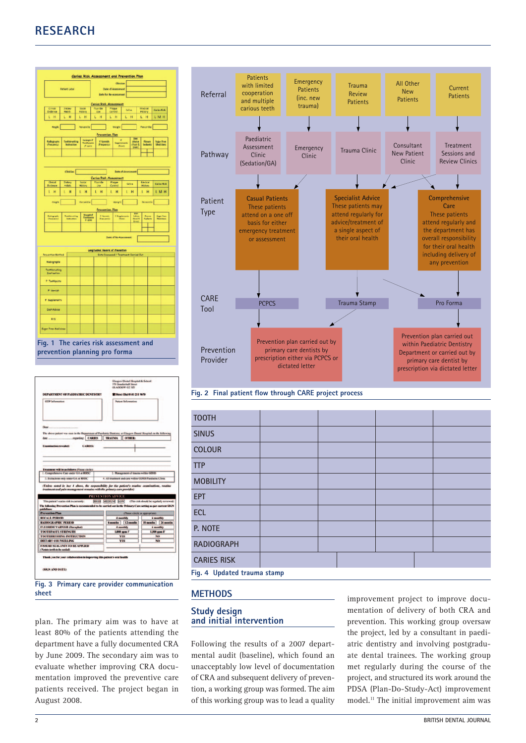## **RESEARCH**

|                                                                                                                                                                                                                  |                            | Carles Risk Assessment and Prevention Plan |    |                                                             |                                                            |                                               |                   |                   |                          |                                                       |                                                                              |
|------------------------------------------------------------------------------------------------------------------------------------------------------------------------------------------------------------------|----------------------------|--------------------------------------------|----|-------------------------------------------------------------|------------------------------------------------------------|-----------------------------------------------|-------------------|-------------------|--------------------------|-------------------------------------------------------|------------------------------------------------------------------------------|
|                                                                                                                                                                                                                  |                            |                                            |    |                                                             |                                                            | <b>Clinician</b>                              |                   |                   |                          |                                                       |                                                                              |
|                                                                                                                                                                                                                  | <b>Fatert Label</b>        |                                            |    |                                                             | <b>Date of Assessment</b><br><b>Date for Re-assessment</b> |                                               |                   |                   |                          |                                                       |                                                                              |
| Caries Risk Assessment                                                                                                                                                                                           |                            |                                            |    |                                                             |                                                            |                                               |                   |                   |                          |                                                       |                                                                              |
| o<br><b>Tuttlence</b>                                                                                                                                                                                            | Habiti                     | Social<br>History                          |    | Use.                                                        |                                                            | Plaque<br>Compel                              | <b>Salice</b>     |                   | Medical<br>Hittery       |                                                       | Corles Risk                                                                  |
| $L$ H                                                                                                                                                                                                            | L<br>H                     | L<br>H                                     | L  | H                                                           |                                                            | LH                                            | L                 | $^{\prime}$       | $L$ H                    |                                                       | L M H                                                                        |
| <b>Height</b>                                                                                                                                                                                                    |                            | <b>Ferceraille</b>                         |    |                                                             |                                                            | <b>Weight</b>                                 |                   |                   | Fercentile               |                                                       |                                                                              |
| tadographi                                                                                                                                                                                                       | Toothireching              |                                            |    | Prevention<br><b>C</b> Varnish                              |                                                            | Plan<br>٠                                     |                   | ō                 | Figure                   |                                                       |                                                                              |
| (Preduenty)                                                                                                                                                                                                      | Instruction                | Tarength P<br>Taothpata<br> Finger         |    | <b>Progenity</b>                                            |                                                            | <b>Supplements</b><br>[Cross                  |                   | Advice<br>(foot 5 | <b>Seidarts</b>          |                                                       | tager free<br>Medicines                                                      |
|                                                                                                                                                                                                                  |                            |                                            |    |                                                             |                                                            |                                               |                   |                   |                          |                                                       |                                                                              |
|                                                                                                                                                                                                                  |                            |                                            |    |                                                             |                                                            |                                               |                   |                   |                          |                                                       |                                                                              |
|                                                                                                                                                                                                                  | Cinician <sup>[</sup>      |                                            |    | Cories Risk                                                 |                                                            | Assessmer                                     | Date of Ameriment |                   |                          |                                                       |                                                                              |
| Clinical<br>tudesce                                                                                                                                                                                              | Dietary<br>Habit           | Sozial<br>Hitter                           |    |                                                             |                                                            | Pinga<br>Control                              | Safer             |                   | Medica<br>Hitting        |                                                       | <b>Caries Risk</b>                                                           |
| LH                                                                                                                                                                                                               | H<br>Ĺ                     | t<br>H                                     | ī. | H                                                           | Ĺ                                                          | H                                             | Ł                 | H                 | t                        | H                                                     | LMH                                                                          |
| Helgis                                                                                                                                                                                                           |                            | terrantia.                                 |    |                                                             |                                                            | Weight <sup>1</sup>                           |                   |                   | <b>Responsible</b>       |                                                       |                                                                              |
|                                                                                                                                                                                                                  |                            |                                            |    | revention Plan                                              |                                                            |                                               |                   |                   |                          |                                                       |                                                                              |
| ledograph<br>Tracsarchi                                                                                                                                                                                          | Taathimuming<br>fastuation | Streepis F<br>Tachboard<br>18 aprol        |    | <b>E Vermein</b><br>Frequenci                               |                                                            | Filippines<br>Topsd                           |                   | Ξ.                | <b>Person</b><br>Seatern |                                                       | <b>Departes</b><br>Markhaus                                                  |
|                                                                                                                                                                                                                  |                            |                                            |    |                                                             |                                                            |                                               |                   |                   |                          |                                                       |                                                                              |
|                                                                                                                                                                                                                  |                            |                                            |    |                                                             |                                                            | <b>Date of Re-Assessment</b>                  |                   |                   |                          |                                                       |                                                                              |
|                                                                                                                                                                                                                  |                            |                                            |    | Longitudinal Record of Prevention                           |                                                            |                                               |                   |                   |                          |                                                       |                                                                              |
| <b>Freventien Mathed</b><br>Radographa                                                                                                                                                                           |                            |                                            |    |                                                             |                                                            | <b>Date Discussed / Treehnart Corried Out</b> |                   |                   |                          |                                                       |                                                                              |
| Tosthibrushing                                                                                                                                                                                                   |                            |                                            |    |                                                             |                                                            |                                               |                   |                   |                          |                                                       |                                                                              |
| Instruction<br>P Toethports                                                                                                                                                                                      |                            |                                            |    |                                                             |                                                            |                                               |                   |                   |                          |                                                       |                                                                              |
|                                                                                                                                                                                                                  |                            |                                            |    |                                                             |                                                            |                                               |                   |                   |                          |                                                       |                                                                              |
| P Vernight                                                                                                                                                                                                       |                            |                                            |    |                                                             |                                                            |                                               |                   |                   |                          |                                                       |                                                                              |
| <b>F</b> Supriements                                                                                                                                                                                             |                            |                                            |    |                                                             |                                                            |                                               |                   |                   |                          |                                                       |                                                                              |
| Diet Advice                                                                                                                                                                                                      |                            |                                            |    |                                                             |                                                            |                                               |                   |                   |                          |                                                       |                                                                              |
| F/S                                                                                                                                                                                                              |                            |                                            |    |                                                             |                                                            |                                               |                   |                   |                          |                                                       |                                                                              |
| Sugar Pres Medicines                                                                                                                                                                                             |                            |                                            |    |                                                             |                                                            |                                               |                   |                   |                          |                                                       |                                                                              |
| prevention planning pro forma                                                                                                                                                                                    |                            |                                            |    |                                                             |                                                            |                                               |                   |                   |                          |                                                       |                                                                              |
| Glasgow Dental Hospital & School<br>378 Sauchiehall Steert<br>GLASGOW G2 323<br>DEPARTMENT OF PAEDIATRIC DENTISTRY<br><b>S'Direct Dial 0141 211 9670</b><br><b>GDP</b> Information<br><b>Patient Information</b> |                            |                                            |    |                                                             |                                                            |                                               |                   |                   |                          |                                                       |                                                                              |
| th                                                                                                                                                                                                               |                            |                                            |    |                                                             |                                                            |                                               |                   |                   |                          |                                                       |                                                                              |
| The above patient was seen in the Department of Paediatric Dentistry at Glasgow Dental Hospital on the following                                                                                                 |                            |                                            |    |                                                             |                                                            |                                               |                   |                   |                          |                                                       |                                                                              |
| <b>Examination revealed:</b>                                                                                                                                                                                     |                            | <b>CARIES:</b>                             |    |                                                             |                                                            |                                               |                   |                   |                          |                                                       |                                                                              |
|                                                                                                                                                                                                                  |                            |                                            |    |                                                             |                                                            |                                               |                   |                   |                          |                                                       |                                                                              |
|                                                                                                                                                                                                                  |                            |                                            |    |                                                             |                                                            |                                               |                   |                   |                          |                                                       |                                                                              |
| Treatment will be as follows (Please circle)<br>1. Comprehensive Care under GA at RHSC<br>3. Est                                                                                                                 | only under GA at RHSC      |                                            |    |                                                             |                                                            |                                               |                   |                   |                          | 2. Management of trauma within GDHS                   |                                                                              |
| 4. All treatment and care within GDHS Paediatric Cli<br>(Unless noted in box 4 above, the responsibility for the patient's routine examinity and pain management remains                                         |                            |                                            |    |                                                             |                                                            |                                               |                   |                   |                          |                                                       |                                                                              |
|                                                                                                                                                                                                                  |                            |                                            |    | PREVENTION ADVICE                                           |                                                            |                                               |                   |                   |                          |                                                       |                                                                              |
| This patient's caries risk is currently:<br>The following Prevention Plan is recor                                                                                                                               |                            |                                            |    |                                                             |                                                            |                                               |                   |                   |                          | HIGH MEDIUM LOW (This risk should be regularly review | edi<br>led to be carried out in the Primary Care setting as per current SIGN |
| <b>Prevention Plan</b>                                                                                                                                                                                           |                            |                                            |    |                                                             |                                                            |                                               |                   |                   |                          |                                                       |                                                                              |
| (Please circle as appropriate)<br>RECALL PERIOD<br>4 monthly<br><b>6</b> monthly<br>aths 24 mm<br><b>RADIOGRAPHIC PERIOD</b><br>ths $12m$<br>18 (<br>6 n                                                         |                            |                                            |    |                                                             | eths                                                       |                                               |                   |                   |                          |                                                       |                                                                              |
| <b>FLUORIDE VARNISH (Duraphat)</b><br><b>TOOTHPASTE STRENGTH</b>                                                                                                                                                 |                            |                                            |    | 4 monthly<br><b>6 monthly</b><br>1,000 ppm F<br>1,500 ppm F |                                                            |                                               |                   |                   |                          |                                                       |                                                                              |
| <b>TOOTHBRUSHING INSTRUCTION</b><br>DIETARY COUNSELLING                                                                                                                                                          |                            |                                            |    |                                                             |                                                            |                                               | <b>YES</b>        |                   |                          | NO                                                    |                                                                              |
| NO <sub></sub><br><b>YES</b><br><b>FISSURE SEALANTS TO BE APPLIED</b><br>Notate teeth to be sealed)                                                                                                              |                            |                                            |    |                                                             |                                                            |                                               |                   |                   |                          |                                                       |                                                                              |
| Thank you for your collaboration in improving this patient's oral b                                                                                                                                              |                            |                                            |    |                                                             |                                                            |                                               |                   |                   |                          |                                                       |                                                                              |
|                                                                                                                                                                                                                  |                            |                                            |    |                                                             |                                                            |                                               |                   |                   |                          |                                                       |                                                                              |
| (SIGN AND DATE)                                                                                                                                                                                                  |                            |                                            |    |                                                             |                                                            |                                               |                   |                   |                          |                                                       |                                                                              |
| <b>Fig. 3</b><br>cheet                                                                                                                                                                                           |                            | Primary care provider communication        |    |                                                             |                                                            |                                               |                   |                   |                          |                                                       |                                                                              |

plan. The primary aim was to have at least 80% of the patients attending the department have a fully documented CRA by June 2009. The secondary aim was to evaluate whether improving CRA documentation improved the preventive care patients received. The project began in August 2008.



**Fig. 2 Final patient flow through CARE project process**

| <b>TOOTH</b>                |  |  |  |  |  |  |
|-----------------------------|--|--|--|--|--|--|
| <b>SINUS</b>                |  |  |  |  |  |  |
| <b>COLOUR</b>               |  |  |  |  |  |  |
| <b>TTP</b>                  |  |  |  |  |  |  |
| <b>MOBILITY</b>             |  |  |  |  |  |  |
| <b>EPT</b>                  |  |  |  |  |  |  |
| <b>ECL</b>                  |  |  |  |  |  |  |
| P. NOTE                     |  |  |  |  |  |  |
| <b>RADIOGRAPH</b>           |  |  |  |  |  |  |
| <b>CARIES RISK</b>          |  |  |  |  |  |  |
| Fig. 4 Updated trauma stamp |  |  |  |  |  |  |

#### **METHODS**

#### **Study design and initial intervention**

Following the results of a 2007 departmental audit (baseline), which found an unacceptably low level of documentation of CRA and subsequent delivery of prevention, a working group was formed. The aim of this working group was to lead a quality improvement project to improve documentation of delivery of both CRA and prevention. This working group oversaw the project, led by a consultant in paediatric dentistry and involving postgraduate dental trainees. The working group met regularly during the course of the project, and structured its work around the PDSA (Plan-Do-Study-Act) improvement model.11 The initial improvement aim was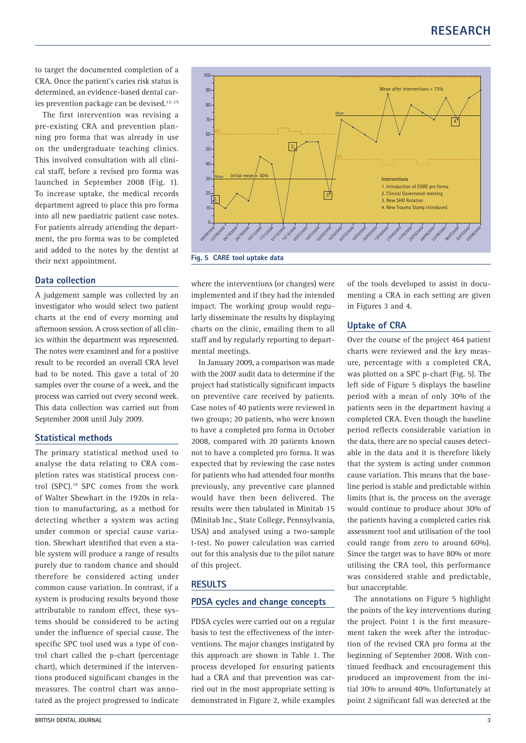to target the documented completion of a CRA. Once the patient's caries risk status is determined, an evidence-based dental caries prevention package can be devised.<sup>12-15</sup>

The first intervention was revising a pre-existing CRA and prevention planning pro forma that was already in use on the undergraduate teaching clinics. This involved consultation with all clinical staff, before a revised pro forma was launched in September 2008 (Fig. 1). To increase uptake, the medical records department agreed to place this pro forma into all new paediatric patient case notes. For patients already attending the department, the pro forma was to be completed and added to the notes by the dentist at their next appointment.

#### **Data collection**

A judgement sample was collected by an investigator who would select two patient charts at the end of every morning and afternoon session. A cross section of all clinics within the department was represented. The notes were examined and for a positive result to be recorded an overall CRA level had to be noted. This gave a total of 20 samples over the course of a week, and the process was carried out every second week. This data collection was carried out from September 2008 until July 2009.

#### **Statistical methods**

The primary statistical method used to analyse the data relating to CRA completion rates was statistical process control (SPC).16 SPC comes from the work of Walter Shewhart in the 1920s in relation to manufacturing, as a method for detecting whether a system was acting under common or special cause variation. Shewhart identified that even a stable system will produce a range of results purely due to random chance and should therefore be considered acting under common cause variation. In contrast, if a system is producing results beyond those attributable to random effect, these systems should be considered to be acting under the influence of special cause. The specific SPC tool used was a type of control chart called the p‑chart (percentage chart), which determined if the interventions produced significant changes in the measures. The control chart was annotated as the project progressed to indicate



**Fig. 5 CARE tool uptake data**

where the interventions (or changes) were implemented and if they had the intended impact. The working group would regularly disseminate the results by displaying charts on the clinic, emailing them to all staff and by regularly reporting to departmental meetings.

In January 2009, a comparison was made with the 2007 audit data to determine if the project had statistically significant impacts on preventive care received by patients. Case notes of 40 patients were reviewed in two groups; 20 patients, who were known to have a completed pro forma in October 2008, compared with 20 patients known not to have a completed pro forma. It was expected that by reviewing the case notes for patients who had attended four months previously, any preventive care planned would have then been delivered. The results were then tabulated in Minitab 15 (Minitab Inc., State College, Pennsylvania, USA) and analysed using a two-sample t‑test. No power calculation was carried out for this analysis due to the pilot nature of this project.

#### **RESULTS**

#### **PDSA cycles and change concepts**

PDSA cycles were carried out on a regular basis to test the effectiveness of the interventions. The major changes instigated by this approach are shown in Table 1. The process developed for ensuring patients had a CRA and that prevention was carried out in the most appropriate setting is demonstrated in Figure 2, while examples

of the tools developed to assist in documenting a CRA in each setting are given in Figures 3 and 4.

### **Uptake of CRA**

Over the course of the project 464 patient charts were reviewed and the key measure, percentage with a completed CRA, was plotted on a SPC p-chart (Fig. 5). The left side of Figure 5 displays the baseline period with a mean of only 30% of the patients seen in the department having a completed CRA. Even though the baseline period reflects considerable variation in the data, there are no special causes detectable in the data and it is therefore likely that the system is acting under common cause variation. This means that the baseline period is stable and predictable within limits (that is, the process on the average would continue to produce about 30% of the patients having a completed caries risk assessment tool and utilisation of the tool could range from zero to around 60%). Since the target was to have 80% or more utilising the CRA tool, this performance was considered stable and predictable, but unacceptable.

The annotations on Figure 5 highlight the points of the key interventions during the project. Point 1 is the first measurement taken the week after the introduction of the revised CRA pro forma at the beginning of September 2008. With continued feedback and encouragement this produced an improvement from the initial 30% to around 40%. Unfortunately at point 2 significant fall was detected at the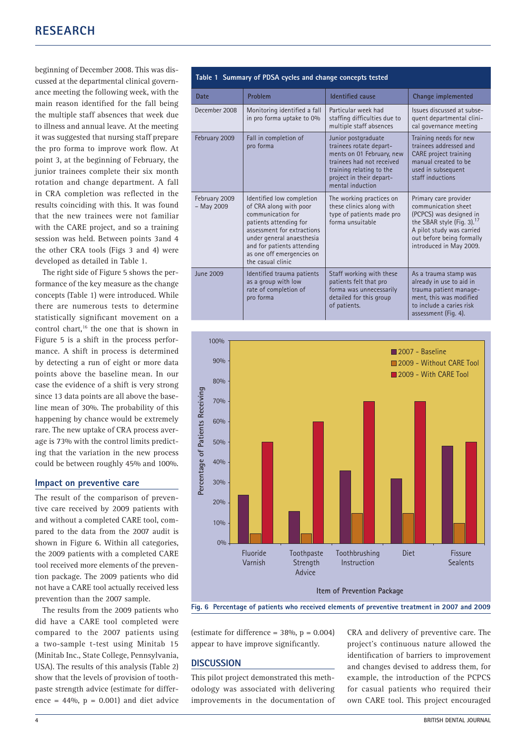beginning of December 2008. This was discussed at the departmental clinical governance meeting the following week, with the main reason identified for the fall being the multiple staff absences that week due to illness and annual leave. At the meeting it was suggested that nursing staff prepare the pro forma to improve work flow. At point 3, at the beginning of February, the junior trainees complete their six month rotation and change department. A fall in CRA completion was reflected in the results coinciding with this. It was found that the new trainees were not familiar with the CARE project, and so a training session was held. Between points 3and 4 the other CRA tools (Figs 3 and 4) were developed as detailed in Table 1.

The right side of Figure 5 shows the performance of the key measure as the change concepts (Table 1) were introduced. While there are numerous tests to determine statistically significant movement on a control chart,16 the one that is shown in Figure 5 is a shift in the process performance. A shift in process is determined by detecting a run of eight or more data points above the baseline mean. In our case the evidence of a shift is very strong since 13 data points are all above the baseline mean of 30%. The probability of this happening by chance would be extremely rare. The new uptake of CRA process average is 73% with the control limits predicting that the variation in the new process could be between roughly 45% and 100%.

#### **Impact on preventive care**

The result of the comparison of preventive care received by 2009 patients with and without a completed CARE tool, compared to the data from the 2007 audit is shown in Figure 6. Within all categories, the 2009 patients with a completed CARE tool received more elements of the prevention package. The 2009 patients who did not have a CARE tool actually received less prevention than the 2007 sample.

The results from the 2009 patients who did have a CARE tool completed were compared to the 2007 patients using a two‑sample t‑test using Minitab 15 (Minitab Inc., State College, Pennsylvania, USA). The results of this analysis (Table 2) show that the levels of provision of toothpaste strength advice (estimate for difference =  $44\%$ ,  $p = 0.001$  and diet advice

|                               | Table 1 Summary of PDSA cycles and change concepts tested                                                                                                                                                                                     |                                                                                                                                                                                      |                                                                                                                                                                                                  |
|-------------------------------|-----------------------------------------------------------------------------------------------------------------------------------------------------------------------------------------------------------------------------------------------|--------------------------------------------------------------------------------------------------------------------------------------------------------------------------------------|--------------------------------------------------------------------------------------------------------------------------------------------------------------------------------------------------|
| Date                          | Problem                                                                                                                                                                                                                                       | <b>Identified cause</b>                                                                                                                                                              | Change implemented                                                                                                                                                                               |
| December 2008                 | Monitoring identified a fall<br>in pro forma uptake to 0%                                                                                                                                                                                     | Particular week had<br>staffing difficulties due to<br>multiple staff absences                                                                                                       | Issues discussed at subse-<br>quent departmental clini-<br>cal governance meeting                                                                                                                |
| February 2009                 | Fall in completion of<br>pro forma                                                                                                                                                                                                            | Junior postgraduate<br>trainees rotate depart-<br>ments on 01 February, new<br>trainees had not received<br>training relating to the<br>project in their depart-<br>mental induction | Training needs for new<br>trainees addressed and<br>CARE project training<br>manual created to be<br>used in subsequent<br>staff inductions                                                      |
| February 2009<br>$-$ May 2009 | Identified low completion<br>of CRA along with poor<br>communication for<br>patients attending for<br>assessment for extractions<br>under general anaesthesia<br>and for patients attending<br>as one off emergencies on<br>the casual clinic | The working practices on<br>these clinics along with<br>type of patients made pro<br>forma unsuitable                                                                                | Primary care provider<br>communication sheet<br>(PCPCS) was designed in<br>the SBAR style (Fig. 3). $^{17}$<br>A pilot study was carried<br>out before being formally<br>introduced in May 2009. |
| <b>June 2009</b>              | Identified trauma patients<br>as a group with low<br>rate of completion of<br>pro forma                                                                                                                                                       | Staff working with these<br>patients felt that pro<br>forma was unnecessarily<br>detailed for this group<br>of patients.                                                             | As a trauma stamp was<br>already in use to aid in<br>trauma patient manage-<br>ment, this was modified<br>to include a caries risk<br>assessment (Fig. 4).                                       |



**Fig. 6 Percentage of patients who received elements of preventive treatment in 2007 and 2009**

(estimate for difference =  $38\%$ , p = 0.004) appear to have improve significantly.

#### **DISCUSSION**

This pilot project demonstrated this methodology was associated with delivering improvements in the documentation of CRA and delivery of preventive care. The project's continuous nature allowed the identification of barriers to improvement and changes devised to address them, for example, the introduction of the PCPCS for casual patients who required their own CARE tool. This project encouraged